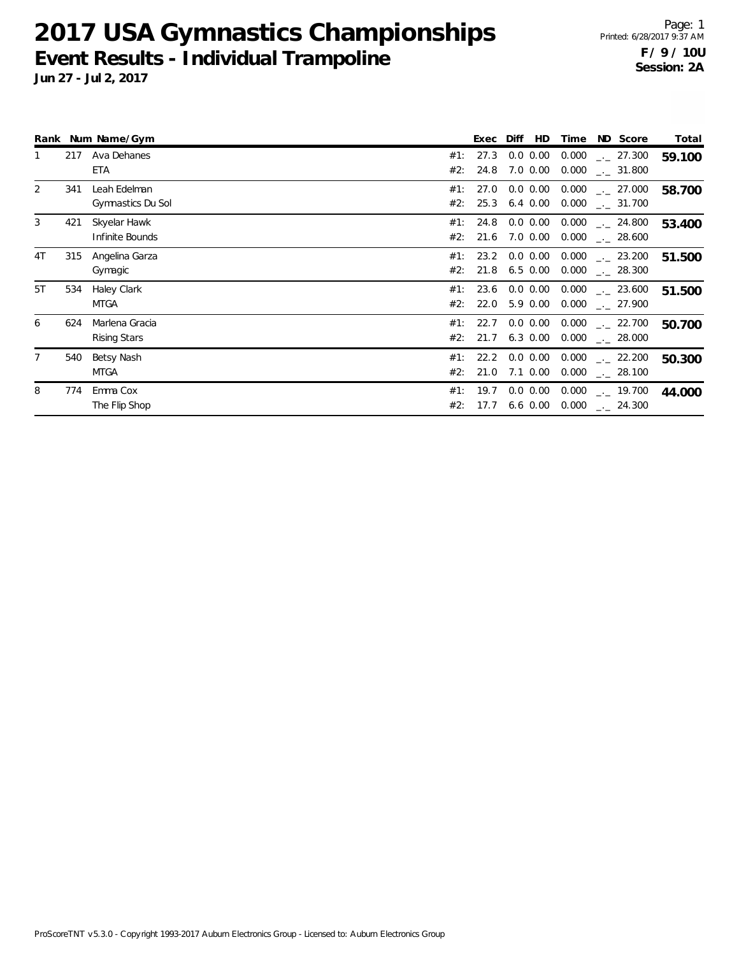|    |     | Rank Num Name/Gym |     | Exec | Diff<br>HD.   | Time  | ND Score                       | Total  |
|----|-----|-------------------|-----|------|---------------|-------|--------------------------------|--------|
|    | 217 | Ava Dehanes       | #1: | 27.3 | 0.0 0.00      | 0.000 | $-27.300$                      | 59.100 |
|    |     | <b>ETA</b>        | #2: | 24.8 | 7.0 0.00      | 0.000 | $\sim$ 31.800                  |        |
| 2  | 341 | Leah Edelman      | #1: | 27.0 | $0.0 \, 0.00$ | 0.000 | $\sim$ 27.000                  | 58.700 |
|    |     | Gymnastics Du Sol | #2: | 25.3 | 6.4 0.00      | 0.000 | $\sim$ 31.700                  |        |
| 3  | 421 | Skyelar Hawk      | #1: | 24.8 | $0.0\, 0.00$  |       | $0.000$ $_{\leftarrow}$ 24.800 | 53.400 |
|    |     | Infinite Bounds   | #2: | 21.6 | $7.0 \, 0.00$ |       | $0.000$ $_{\leftarrow}$ 28.600 |        |
| 4T | 315 | Angelina Garza    | #1: |      | 23.2 0.0 0.00 | 0.000 | $\sim$ 23.200                  | 51.500 |
|    |     | Gymagic           | #2: | 21.8 | $6.5 \ 0.00$  | 0.000 | $\sim$ 28.300                  |        |
| 5T | 534 | Haley Clark       | #1: | 23.6 | $0.0\, 0.00$  | 0.000 | $\sim$ 23.600                  | 51.500 |
|    |     | <b>MTGA</b>       | #2: | 22.0 | 5.9 0.00      | 0.000 | . 27.900                       |        |
| 6  | 624 | Marlena Gracia    | #1: | 22.7 | $0.0\, 0.00$  | 0.000 | $\sim$ 22.700                  | 50.700 |
|    |     | Rising Stars      | #2: | 21.7 | $6.3 \, 0.00$ |       | $0.000$ _._ 28.000             |        |
|    | 540 | Betsy Nash        | #1: |      | 22.2 0.0 0.00 | 0.000 | $\sim$ 22.200                  | 50.300 |
|    |     | <b>MTGA</b>       | #2: | 21.0 | 7.1 0.00      | 0.000 | 28.100                         |        |
| 8  | 774 | Emma Cox          | #1: | 19.7 | $0.0 \, 0.00$ | 0.000 | $\sim$ 19.700                  | 44.000 |
|    |     | The Flip Shop     | #2: | 17.7 | $6.6$ $0.00$  | 0.000 | $\frac{1}{2}$ 24.300           |        |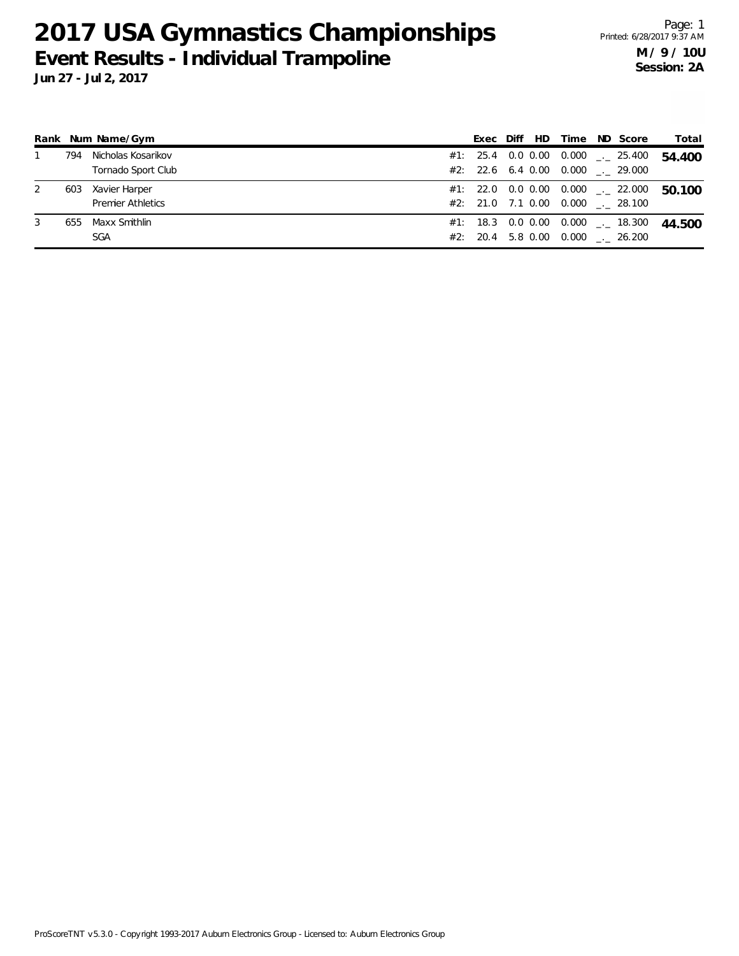|   |     | Rank Num Name/Gym        | Exec | Diff | HD. | Time | ND Score                            | Total  |
|---|-----|--------------------------|------|------|-----|------|-------------------------------------|--------|
|   | 794 | Nicholas Kosarikov       |      |      |     |      | #1: 25.4 0.0 0.00 0.000  25.400     | 54.400 |
|   |     | Tornado Sport Club       |      |      |     |      | #2: 22.6 6.4 0.00 0.000 . 29.000    |        |
| 2 | 603 | Xavier Harper            |      |      |     |      | $#1:$ 22.0 0.0 0.00 0.000 __ 22.000 | 50.100 |
|   |     | <b>Premier Athletics</b> |      |      |     |      | #2: 21.0 7.1 0.00 0.000 . 28.100    |        |
| 3 | 655 | Maxx Smithlin            |      |      |     |      | $#1:$ 18.3 0.0 0.00 0.000 __ 18.300 | 44.500 |
|   |     | <b>SGA</b>               |      |      |     |      | #2: 20.4 5.8 0.00 0.000 . 26.200    |        |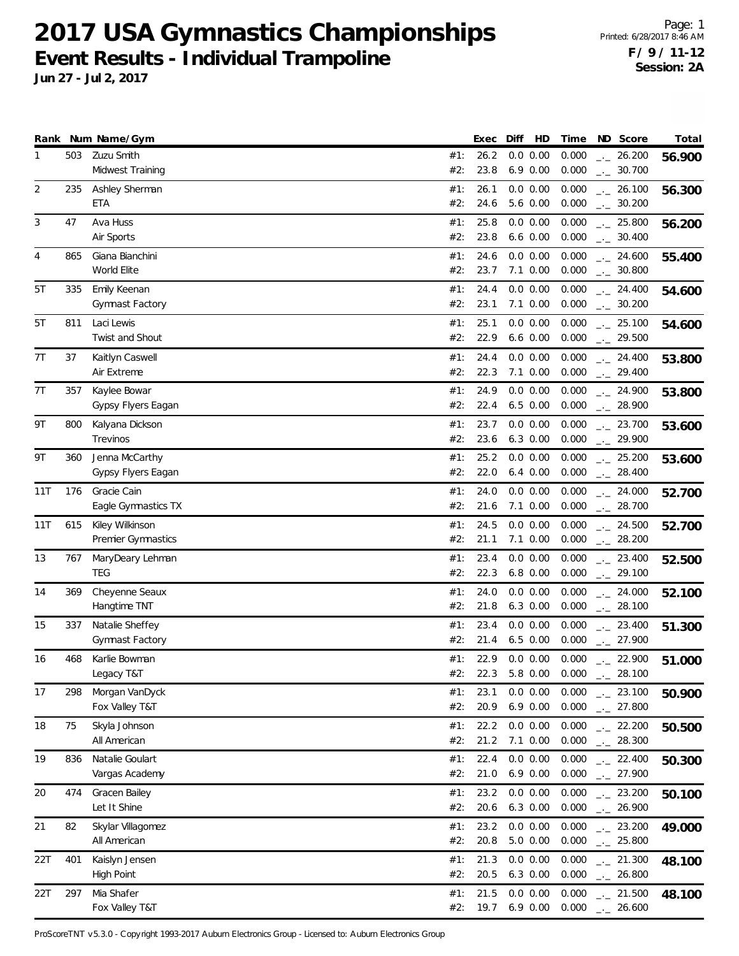**Jun 27 - Jul 2, 2017**

|          |            | Rank Num Name/Gym                                  |                   | Exec                 | HD<br>Diff                          | Time                    | ND Score                                     | Total  |
|----------|------------|----------------------------------------------------|-------------------|----------------------|-------------------------------------|-------------------------|----------------------------------------------|--------|
| 1        | 503        | Zuzu Smith<br>Midwest Training                     | #1:<br>#2:        | 26.2<br>23.8         | 0.0 0.00<br>$6.9\ 0.00$             | 0.000<br>0.000          | 26.200<br>$\rightarrow$<br>$-2$ 30.700       | 56.900 |
| 2        | 235        | Ashley Sherman<br><b>ETA</b>                       | #1:<br>#2:        | 26.1<br>24.6         | 0.0 0.00<br>5.6 0.00                | 0.000<br>0.000          | $-26.100$<br>$-2$ 30.200                     | 56.300 |
| 3        | 47         | Ava Huss<br>Air Sports                             | #1:<br>#2:        | 25.8<br>23.8         | 0.0 0.00<br>$6.6$ $0.00$            | 0.000<br>0.000          | $-25.800$<br>$-2$ 30.400                     | 56.200 |
| 4        | 865        | Giana Bianchini<br>World Elite                     | #1:<br>#2:        | 24.6<br>23.7         | 0.0 0.00<br>$7.1 \ 0.00$            | 0.000<br>0.000          | $-24.600$<br>$-2$ 30.800                     | 55.400 |
| 5T       | 335        | Emily Keenan<br>Gymnast Factory                    | #1:<br>#2:        | 24.4<br>23.1         | 0.0 0.00<br>$7.1 \ 0.00$            | 0.000<br>0.000          | $-24.400$<br>$-2$ 30.200                     | 54.600 |
| 5T       | 811        | Laci Lewis<br>Twist and Shout                      | #1:<br>#2:        | 25.1<br>22.9         | 0.0 0.00<br>$6.6$ $0.00$            | 0.000<br>0.000          | $\frac{1}{2}$ 25.100<br>$-29.500$            | 54.600 |
| 7T       | 37         | Kaitlyn Caswell<br>Air Extreme                     | #1:<br>#2:        | 24.4<br>22.3         | 0.0 0.00<br>$7.1 \ 0.00$            | 0.000<br>0.000          | $-24.400$<br>$-29.400$                       | 53.800 |
| 7T       | 357        | Kaylee Bowar<br>Gypsy Flyers Eagan                 | #1:<br>#2:        | 24.9<br>22.4         | 0.0 0.00<br>$6.5$ $0.00$            | 0.000<br>0.000          | $-24.900$<br>$\frac{1}{2}$ 28.900            | 53.800 |
| 9Τ       | 800        | Kalyana Dickson<br>Trevinos                        | #1:<br>#2:        | 23.7<br>23.6         | 0.0 0.00<br>6.3 0.00                | 0.000<br>0.000          | $\frac{1}{2}$ 23.700<br>$-29.900$            | 53.600 |
| 9Τ       | 360        | Jenna McCarthy<br>Gypsy Flyers Eagan               | #1:<br>#2:        | 25.2<br>22.0         | 0.0 0.00<br>$6.4\;0.00$             | 0.000<br>0.000          | $-25.200$<br>$-28.400$                       | 53.600 |
| 11T      | 176        | Gracie Cain<br>Eagle Gymnastics TX                 | #1:<br>#2:        | 24.0<br>21.6         | 0.0 0.00<br>$7.1 \ 0.00$            | 0.000<br>0.000          | $-24.000$<br>$-28.700$                       | 52.700 |
| 11T      | 615        | Kiley Wilkinson<br>Premier Gymnastics              | #1:<br>#2:        | 24.5<br>21.1         | $0.0\ 0.00$<br>$7.1 \ 0.00$         | 0.000<br>0.000          | $-24.500$<br>$-28.200$                       | 52.700 |
| 13       | 767        | MaryDeary Lehman<br><b>TEG</b>                     | #1:<br>#2:        | 23.4<br>22.3         | 0.0 0.00<br>$6.8$ $0.00$            | 0.000<br>0.000          | $-23.400$<br>$-29.100$                       | 52.500 |
| 14       | 369        | Cheyenne Seaux<br>Hangtime TNT                     | #1:<br>#2:        | 24.0<br>21.8         | 0.0 0.00<br>6.3 0.00                | 0.000<br>0.000          | $\frac{1}{2}$ 24.000<br>$-28.100$            | 52.100 |
| 15       | 337        | Natalie Sheffey<br>Gymnast Factory                 | #1:<br>#2:        | 23.4<br>21.4         | 0.0 0.00<br>$6.5$ $0.00$            | 0.000<br>0.000          | $-23.400$<br>$-27.900$                       | 51.300 |
| 16       | 468        | Karlie Bowman<br>Legacy T&T                        | #1:<br>#2:        | 22.9<br>22.3         | 0.0 0.00<br>5.8 0.00                | 0.000<br>0.000          | $-22.900$<br>28.100<br>$-1$                  | 51.000 |
| 17       | 298        | Morgan VanDyck<br>Fox Valley T&T                   | #1:<br>#2:        | 23.1<br>20.9         | 0.0 0.00<br>$6.9\ 0.00$             | 0.000<br>0.000          | $-23.100$<br>$-27.800$                       | 50.900 |
| 18       | 75         | Skyla Johnson<br>All American                      | #1:<br>#2:        | 22.2<br>21.2         | 0.0 0.00<br>7.1 0.00                | 0.000<br>0.000          | $-22.200$<br>$-28.300$                       | 50.500 |
| 19<br>20 | 836<br>474 | Natalie Goulart<br>Vargas Academy<br>Gracen Bailey | #1:<br>#2:<br>#1: | 22.4<br>21.0<br>23.2 | 0.0 0.00<br>$6.9\ 0.00$<br>0.0 0.00 | 0.000<br>0.000<br>0.000 | $-22.400$<br>$-27.900$                       | 50.300 |
| 21       | 82         | Let It Shine<br>Skylar Villagomez                  | #2:<br>#1:        | 20.6<br>23.2         | $6.3$ $0.00$<br>0.0 0.00            | 0.000<br>0.000          | $-23.200$<br>$-26.900$<br>$-23.200$          | 50.100 |
| 22T      | 401        | All American<br>Kaislyn Jensen                     | #2:<br>#1:        | 20.8<br>21.3         | 5.0 0.00<br>0.0 0.00                | 0.000<br>0.000          | $-25.800$<br>$\frac{1}{2}$ 21.300            | 49.000 |
| 22T      | 297        | <b>High Point</b><br>Mia Shafer                    | #2:<br>#1:        | 20.5<br>21.5         | $6.3$ $0.00$<br>$0.0\ 0.00$         | 0.000<br>0.000          | $\frac{1}{2}$ 26.800<br>$\frac{1}{2}$ 21.500 | 48.100 |
|          |            | Fox Valley T&T                                     | #2:               | 19.7                 | $6.9\ 0.00$                         | 0.000                   | $-26.600$                                    | 48.100 |

ProScoreTNT v5.3.0 - Copyright 1993-2017 Auburn Electronics Group - Licensed to: Auburn Electronics Group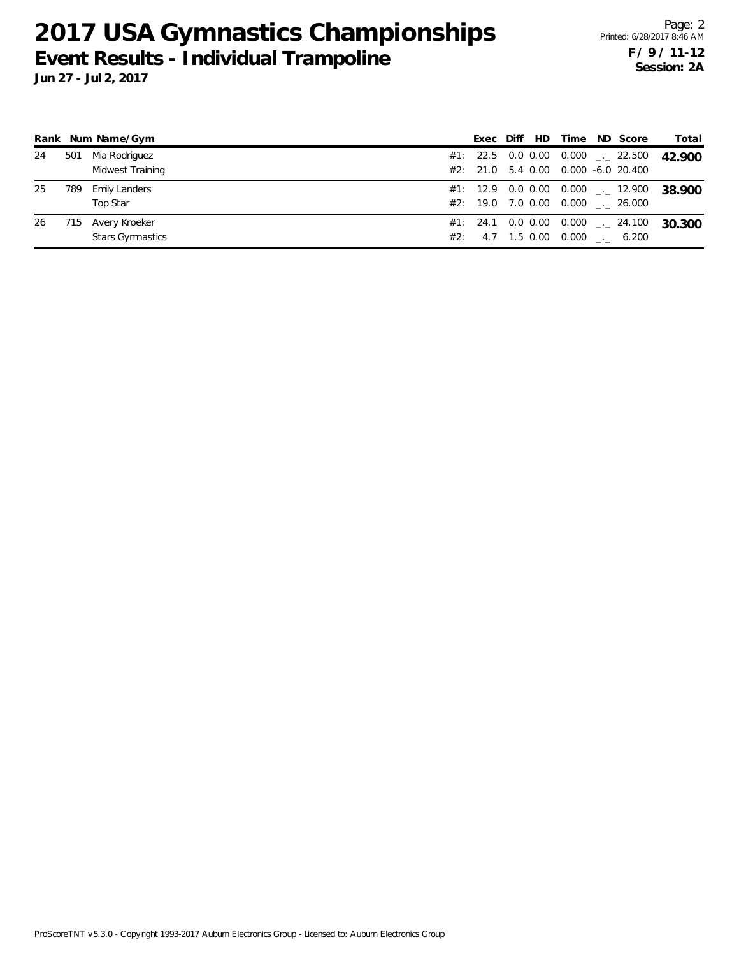|    |     | Rank Num Name/Gym       | Exec | Diff | HD | Time                                        | ND Score                                        | Total  |
|----|-----|-------------------------|------|------|----|---------------------------------------------|-------------------------------------------------|--------|
| 24 | 501 | Mia Rodriguez           |      |      |    | #1: 22.5 0.0 0.00 0.000 $\text{---}$ 22.500 |                                                 | 42.900 |
|    |     | Midwest Training        |      |      |    | $\#2$ : 21.0 5.4 0.00 0.000 -6.0 20.400     |                                                 |        |
| 25 | 789 | <b>Emily Landers</b>    |      |      |    |                                             | #1: 12.9  0.0  0.00  0.000 <sub>--</sub> 12.900 | 38.900 |
|    |     | Top Star                |      |      |    | #2: 19.0 7.0 0.00 0.000 . 26.000            |                                                 |        |
| 26 | 715 | Avery Kroeker           |      |      |    | $\#1$ : 24.1 0.0 0.00 0.000 _._ 24.100      |                                                 | 30.300 |
|    |     | <b>Stars Gymnastics</b> |      |      |    | #2: 4.7 1.5 0.00 0.000 $\ldots$ 6.200       |                                                 |        |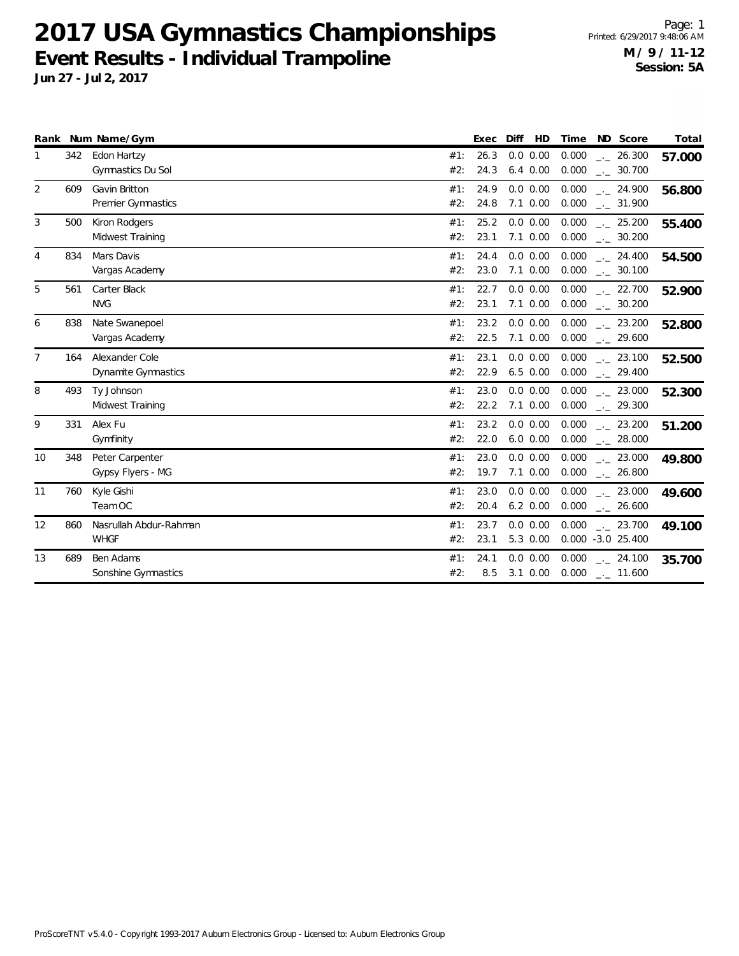|                |     | Rank Num Name/Gym                            |            | Exec         | Diff<br>HD                  | Time           | ND Score                                     | Total  |
|----------------|-----|----------------------------------------------|------------|--------------|-----------------------------|----------------|----------------------------------------------|--------|
| 1              | 342 | Edon Hartzy<br>Gymnastics Du Sol             | #1:<br>#2: | 26.3<br>24.3 | $0.0$ $0.00$<br>$6.4\ 0.00$ | 0.000<br>0.000 | $-26.300$<br>$\frac{1}{2}$ 30.700            | 57.000 |
| $\overline{2}$ | 609 | Gavin Britton<br>Premier Gymnastics          | #1:<br>#2: | 24.9<br>24.8 | 0.0 0.00<br>$7.1 \ 0.00$    | 0.000<br>0.000 | $\frac{1}{2}$ 24.900<br>$\frac{1}{2}$ 31.900 | 56.800 |
| 3              | 500 | Kiron Rodgers<br>Midwest Training            | #1:<br>#2: | 25.2<br>23.1 | 0.0 0.00<br>$7.1 \ 0.00$    | 0.000<br>0.000 | $\frac{1}{2}$ 25.200<br>$\frac{1}{2}$ 30.200 | 55.400 |
| $\overline{4}$ | 834 | Mars Davis<br>Vargas Academy                 | #1:<br>#2: | 24.4<br>23.0 | 0.0 0.00<br>$7.1 \ 0.00$    | 0.000<br>0.000 | . 24.400<br>$_{-}$ 30.100                    | 54.500 |
| 5              | 561 | Carter Black<br><b>NVG</b>                   | #1:<br>#2: | 22.7<br>23.1 | 0.0 0.00<br>$7.1 \ 0.00$    | 0.000<br>0.000 | $-22.700$<br>$\frac{1}{2}$ 30.200            | 52.900 |
| 6              | 838 | Nate Swanepoel<br>Vargas Academy             | #1:<br>#2: | 23.2<br>22.5 | 0.0 0.00<br>$7.1 \ 0.00$    | 0.000<br>0.000 | $\frac{1}{2}$ 23.200<br>$-29.600$            | 52.800 |
| $\overline{7}$ | 164 | Alexander Cole<br><b>Dynamite Gymnastics</b> | #1:<br>#2: | 23.1<br>22.9 | 0.0 0.00<br>$6.5 \ 0.00$    | 0.000<br>0.000 | $-23.100$<br>$-29.400$                       | 52.500 |
| 8              | 493 | Ty Johnson<br>Midwest Training               | #1:<br>#2: | 23.0<br>22.2 | 0.0 0.00<br>$7.1 \ 0.00$    | 0.000<br>0.000 | $-23.000$<br>$-29.300$                       | 52.300 |
| 9              | 331 | Alex Fu<br>Gymfinity                         | #1:<br>#2: | 23.2<br>22.0 | 0.0 0.00<br>$6.0\ 0.00$     | 0.000<br>0.000 | $\frac{1}{2}$ 23.200<br>$\frac{1}{2}$ 28.000 | 51.200 |
| 10             | 348 | Peter Carpenter<br>Gypsy Flyers - MG         | #1:<br>#2: | 23.0<br>19.7 | 0.0 0.00<br>$7.1 \ 0.00$    | 0.000<br>0.000 | $-23.000$<br>$-26.800$                       | 49.800 |
| 11             | 760 | Kyle Gishi<br>Team OC                        | #1:<br>#2: | 23.0<br>20.4 | 0.0 0.00<br>$6.2 \ 0.00$    | 0.000<br>0.000 | $\frac{1}{2}$ 23.000<br>$-26.600$            | 49.600 |
| 12             | 860 | Nasrullah Abdur-Rahman<br><b>WHGF</b>        | #1:<br>#2: | 23.7<br>23.1 | 0.0 0.00<br>5.3 0.00        | 0.000          | $\frac{1}{2}$ 23.700<br>$0.000 -3.0 25.400$  | 49.100 |
| 13             | 689 | Ben Adams<br>Sonshine Gymnastics             | #1:<br>#2: | 24.1<br>8.5  | 0.0 0.00<br>$3.1 \ 0.00$    | 0.000<br>0.000 | $-24.100$<br>$-11.600$                       | 35.700 |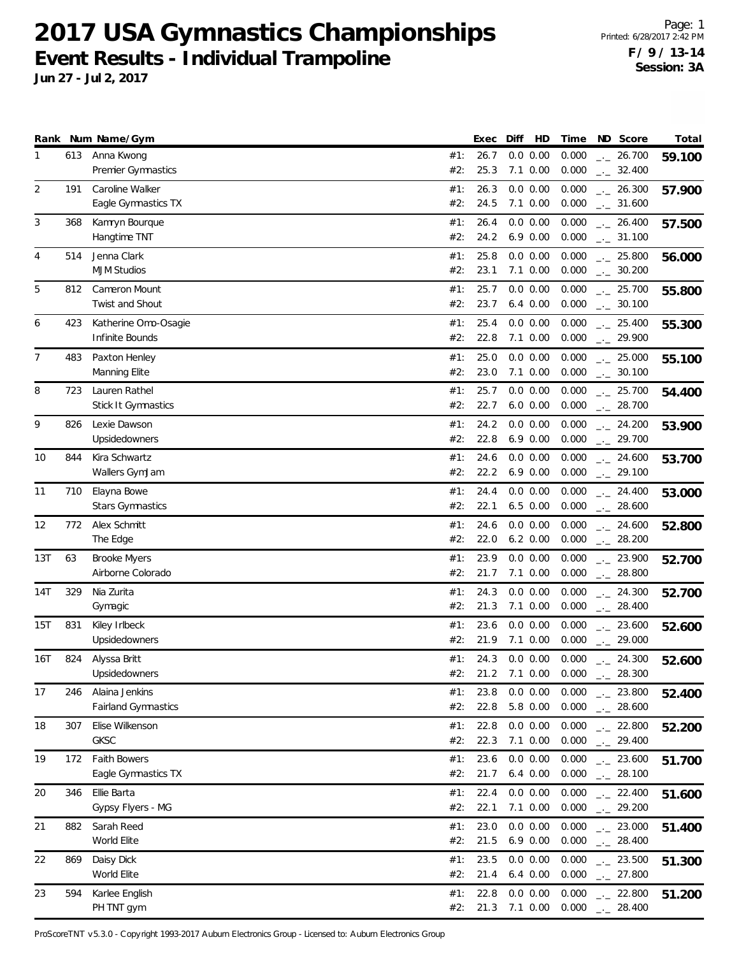**Jun 27 - Jul 2, 2017**

|                |     | Rank Num Name/Gym                        |            | Exec         | HD<br>Diff               | Time           | ND Score                          | Total  |
|----------------|-----|------------------------------------------|------------|--------------|--------------------------|----------------|-----------------------------------|--------|
| 1              | 613 | Anna Kwong<br>Premier Gymnastics         | #1:<br>#2: | 26.7<br>25.3 | 0.0 0.00<br>$7.1 \ 0.00$ | 0.000<br>0.000 | 26.700<br>$-1$<br>$-2$ 32.400     | 59.100 |
| $\overline{2}$ | 191 | Caroline Walker                          | #1:        | 26.3         | 0.0 0.00                 | 0.000          | $-26.300$                         | 57.900 |
|                |     | Eagle Gymnastics TX                      | #2:        | 24.5         | $7.1 \ 0.00$             | 0.000          | $-2$ 31.600                       |        |
| 3              | 368 | Kamryn Bourque                           | #1:        | 26.4         | 0.0 0.00                 | 0.000          | $-26.400$                         | 57.500 |
|                |     | Hangtime TNT                             | #2:        | 24.2         | $6.9\ 0.00$              | 0.000          | $_{-}$ 31.100                     |        |
| $\overline{4}$ | 514 | Jenna Clark<br><b>MJM Studios</b>        | #1:<br>#2: | 25.8<br>23.1 | 0.0 0.00<br>$7.1 \ 0.00$ | 0.000<br>0.000 | $-25.800$<br>$\frac{1}{2}$ 30.200 | 56.000 |
| 5              | 812 | Cameron Mount                            | #1:        | 25.7         | 0.0 0.00                 | 0.000          | $-25.700$                         | 55.800 |
|                |     | <b>Twist and Shout</b>                   | #2:        | 23.7         | $6.4\ 0.00$              | 0.000          | $-2$ 30.100                       |        |
| 6              | 423 | Katherine Omo-Osagie                     | #1:        | 25.4         | 0.0 0.00                 | 0.000          | $-25.400$                         | 55.300 |
|                |     | Infinite Bounds                          | #2:        | 22.8         | 7.1 0.00                 | 0.000          | $-29.900$                         |        |
| 7              | 483 | Paxton Henley                            | #1:        | 25.0         | 0.0 0.00                 | 0.000          | $-25.000$                         | 55.100 |
|                |     | Manning Elite                            | #2:        | 23.0         | $7.1 \ 0.00$             | 0.000          | $-2$ 30.100                       |        |
| 8              | 723 | Lauren Rathel                            | #1:        | 25.7         | 0.0 0.00                 | 0.000          | $-25.700$                         | 54.400 |
|                |     | Stick It Gymnastics                      | #2:        | 22.7         | $6.0\ 0.00$              | 0.000          | $-28.700$                         |        |
| 9              | 826 | Lexie Dawson                             | #1:        | 24.2         | 0.0 0.00                 | 0.000          | $\frac{1}{2}$ 24.200              | 53.900 |
|                |     | Upsidedowners                            | #2:        | 22.8         | $6.9\ 0.00$              | 0.000          | $-29.700$                         |        |
| 10             | 844 | Kira Schwartz                            | #1:        | 24.6         | 0.0 0.00                 | 0.000          | $-24.600$                         | 53.700 |
|                |     | Wallers GymJam                           | #2:        | 22.2         | $6.9\ 0.00$              | 0.000          | $-29.100$                         |        |
| 11             | 710 | Elayna Bowe                              | #1:        | 24.4         | 0.0 0.00                 | 0.000          | $-24.400$                         | 53.000 |
|                |     | <b>Stars Gymnastics</b>                  | #2:        | 22.1         | $6.5$ $0.00$             | 0.000          | $-28.600$                         |        |
| 12             | 772 | Alex Schmitt<br>The Edge                 | #1:<br>#2: | 24.6<br>22.0 | 0.0 0.00<br>$6.2 \ 0.00$ | 0.000<br>0.000 | $-24.600$                         | 52.800 |
|                |     |                                          |            |              |                          |                | $-28.200$                         |        |
| 13T            | 63  | <b>Brooke Myers</b><br>Airborne Colorado | #1:<br>#2: | 23.9<br>21.7 | 0.0 0.00<br>7.1 0.00     | 0.000<br>0.000 | $-23.900$<br>$-28.800$            | 52.700 |
| 14T            | 329 | Nia Zurita                               | #1:        | 24.3         | 0.0 0.00                 | 0.000          |                                   |        |
|                |     | Gymagic                                  | #2:        | 21.3         | $7.1 \ 0.00$             | 0.000          | $-24.300$<br>$-28.400$            | 52.700 |
| 15T            | 831 | Kiley Irlbeck                            | #1:        | 23.6         | 0.0 0.00                 | 0.000          | $-23.600$                         | 52.600 |
|                |     | Upsidedowners                            | #2:        | 21.9         | 7.1 0.00                 | 0.000          | $-29.000$                         |        |
| 16T            | 824 | Alyssa Britt                             | #1:        | 24.3         | 0.0 0.00                 | 0.000          | $-24.300$                         | 52.600 |
|                |     | Upsidedowners                            | #2:        | 21.2         | 7.1 0.00                 | 0.000          | 28.300                            |        |
| 17             | 246 | Alaina Jenkins                           | #1:        | 23.8         | 0.0 0.00                 | 0.000          | $-23.800$                         | 52.400 |
|                |     | Fairland Gymnastics                      | #2:        | 22.8         | 5.8 0.00                 | 0.000          | $-28.600$                         |        |
| 18             | 307 | Elise Wilkenson                          | #1:        | 22.8         | 0.0 0.00                 | 0.000          | $-22.800$                         | 52.200 |
|                |     | GKSC                                     | #2:        | 22.3         | $7.1 \ 0.00$             | 0.000          | $-29.400$                         |        |
| 19             | 172 | <b>Faith Bowers</b>                      | #1:        | 23.6         | 0.0 0.00                 | 0.000          | $\frac{1}{2}$ 23.600              | 51.700 |
|                |     | Eagle Gymnastics TX                      | #2:        | 21.7         | $6.4\ 0.00$              | 0.000          | $\frac{1}{2}$ 28.100              |        |
| 20             | 346 | Ellie Barta                              | #1:        | 22.4         | 0.0 0.00                 | 0.000          | $-22.400$                         | 51.600 |
|                |     | Gypsy Flyers - MG                        | #2:        | 22.1         | 7.1 0.00                 | 0.000          | $-29.200$                         |        |
| 21             | 882 | Sarah Reed                               | #1:        | 23.0         | 0.0 0.00                 | 0.000          | $-23.000$                         | 51.400 |
|                |     | World Elite                              | #2:        | 21.5         | 6.9 0.00                 | 0.000          | $-28.400$                         |        |
| 22             | 869 | Daisy Dick                               | #1:        | 23.5         | 0.0 0.00                 | 0.000          | $\frac{1}{2}$ 23.500              | 51.300 |
|                |     | World Elite                              | #2:        | 21.4         | $6.4\ 0.00$              | 0.000          | $\frac{1}{2}$ 27.800              |        |
| 23             | 594 | Karlee English                           | #1:        | 22.8         | 0.0 0.00                 | 0.000          | $-22.800$                         | 51.200 |
|                |     | PH TNT gym                               | #2:        | 21.3         | 7.1 0.00                 | 0.000          | $-28.400$                         |        |

ProScoreTNT v5.3.0 - Copyright 1993-2017 Auburn Electronics Group - Licensed to: Auburn Electronics Group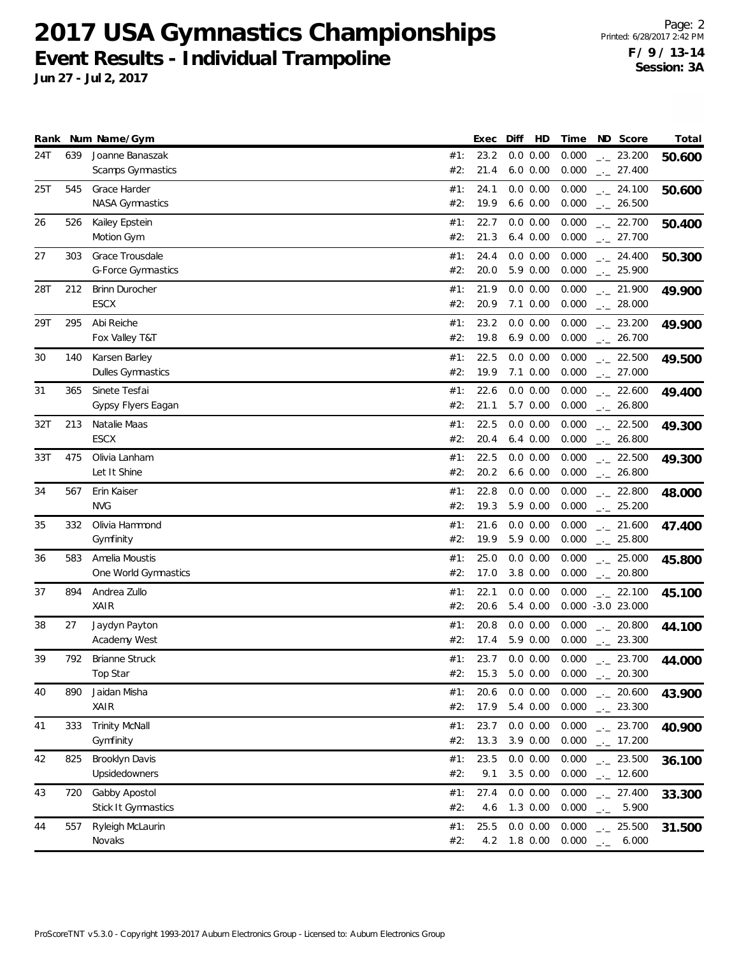| Rank |     | Num Name/Gym              |     | Exec | HD<br>Diff     | Time  | ND Score                 | Total  |
|------|-----|---------------------------|-----|------|----------------|-------|--------------------------|--------|
| 24T  | 639 | Joanne Banaszak           | #1: | 23.2 | 0.0 0.00       | 0.000 | $-23.200$                | 50.600 |
|      |     | Scamps Gymnastics         | #2: | 21.4 | $6.0\ 0.00$    | 0.000 | $-27.400$                |        |
| 25T  | 545 | Grace Harder              | #1: | 24.1 | 0.0 0.00       | 0.000 | $-24.100$                | 50.600 |
|      |     | <b>NASA Gymnastics</b>    | #2: | 19.9 | $6.6$ $0.00$   | 0.000 | $-26.500$                |        |
| 26   | 526 | Kailey Epstein            | #1: | 22.7 | 0.0 0.00       | 0.000 | $-22.700$                | 50.400 |
|      |     | Motion Gym                | #2: | 21.3 | $6.4\ 0.00$    | 0.000 | $\frac{1}{2}$ 27.700     |        |
| 27   | 303 | Grace Trousdale           | #1: | 24.4 | 0.0 0.00       | 0.000 | $-24.400$                | 50.300 |
|      |     | <b>G-Force Gymnastics</b> | #2: | 20.0 | 5.9 0.00       | 0.000 | $-25.900$                |        |
| 28T  | 212 | <b>Brinn Durocher</b>     | #1: | 21.9 | 0.0 0.00       | 0.000 | $-21.900$                | 49.900 |
|      |     | <b>ESCX</b>               | #2: | 20.9 | 7.1 0.00       | 0.000 | $-28.000$                |        |
| 29T  | 295 | Abi Reiche                | #1: | 23.2 | 0.0 0.00       | 0.000 | $\frac{1}{2}$ 23.200     | 49.900 |
|      |     | Fox Valley T&T            | #2: | 19.8 | $6.9\ 0.00$    | 0.000 | $\frac{1}{2}$ 26.700     |        |
| 30   | 140 | Karsen Barley             | #1: | 22.5 | 0.0 0.00       | 0.000 | $-22.500$                | 49.500 |
|      |     | <b>Dulles Gymnastics</b>  | #2: | 19.9 | $7.1 \ 0.00$   | 0.000 | $\frac{1}{2}$ 27.000     |        |
| 31   | 365 | Sinete Tesfai             | #1: | 22.6 | 0.0 0.00       | 0.000 | $-22.600$                | 49.400 |
|      |     | Gypsy Flyers Eagan        | #2: | 21.1 | 5.7 0.00       | 0.000 | $-26.800$                |        |
| 32T  | 213 | Natalie Maas              | #1: | 22.5 | 0.0 0.00       | 0.000 | $\frac{1}{2}$ 22.500     | 49.300 |
|      |     | ESCX                      | #2: | 20.4 | $6.4\ 0.00$    | 0.000 | $\frac{1}{2}$ 26.800     |        |
| 33T  | 475 | Olivia Lanham             | #1: | 22.5 | 0.0 0.00       | 0.000 | $-22.500$                | 49.300 |
|      |     | Let It Shine              | #2: | 20.2 | $6.6$ $0.00$   | 0.000 | $-26.800$                |        |
| 34   | 567 | Erin Kaiser               | #1: | 22.8 | 0.0 0.00       | 0.000 | $-22.800$                | 48.000 |
|      |     | <b>NVG</b>                | #2: | 19.3 | 5.9 0.00       | 0.000 | $-25.200$                |        |
| 35   | 332 | Olivia Hammond            | #1: | 21.6 | 0.0 0.00       | 0.000 | $\frac{1}{2}$ 21.600     | 47.400 |
|      |     | Gymfinity                 | #2: | 19.9 | 5.9 0.00       | 0.000 | $\frac{1}{2}$ 25.800     |        |
| 36   | 583 | Amelia Moustis            | #1: | 25.0 | 0.0 0.00       | 0.000 | $-25.000$                | 45.800 |
|      |     | One World Gymnastics      | #2: | 17.0 | 3.8 0.00       | 0.000 | $\frac{1}{2}$ 20.800     |        |
| 37   | 894 | Andrea Zullo              | #1: | 22.1 | 0.0 0.00       | 0.000 | $-22.100$                | 45.100 |
|      |     | XAIR                      | #2: | 20.6 | 5.4 0.00       |       | $0.000 -3.0 23.000$      |        |
| 38   | 27  | Jaydyn Payton             | #1: | 20.8 | 0.0 0.00       | 0.000 | $\frac{1}{2}$ 20.800     | 44.100 |
|      |     | Academy West              | #2: | 17.4 | 5.9 0.00       | 0.000 | $-23.300$                |        |
| 39   | 792 | <b>Brianne Struck</b>     | #1: | 23.7 | 0.0 0.00       | 0.000 | $-23.700$                | 44.000 |
|      |     | Top Star                  | #2: | 15.3 | 5.0 0.00 0.000 |       | 20.300                   |        |
| 40   | 890 | Jaidan Misha              | #1: | 20.6 | $0.0\ 0.00$    | 0.000 | $\frac{1}{2}$ 20.600     | 43.900 |
|      |     | XAIR                      | #2: | 17.9 | 5.4 0.00       | 0.000 | $-23.300$                |        |
| 41   | 333 | <b>Trinity McNall</b>     | #1: | 23.7 | $0.0\ 0.00$    | 0.000 | $-23.700$                | 40.900 |
|      |     | Gymfinity                 | #2: | 13.3 | 3.9 0.00       | 0.000 | $\frac{1}{2}$ 17.200     |        |
| 42   | 825 | Brooklyn Davis            | #1: | 23.5 | 0.0 0.00       | 0.000 | $-23.500$                | 36.100 |
|      |     | Upsidedowners             | #2: | 9.1  | 3.5 0.00       | 0.000 | $\frac{1}{2}$ 12.600     |        |
| 43   | 720 | Gabby Apostol             | #1: | 27.4 | 0.0 0.00       | 0.000 | $-27.400$                |        |
|      |     | Stick It Gymnastics       | #2: | 4.6  | 1.3 0.00       | 0.000 | 5.900<br>$\Box^2 \Box^2$ | 33.300 |
| 44   | 557 | Ryleigh McLaurin          | #1: | 25.5 | 0.0 0.00       | 0.000 | $-25.500$                |        |
|      |     | Novaks                    | #2: | 4.2  | 1.8 0.00       | 0.000 | 6.000<br>$\omega\omega$  | 31.500 |
|      |     |                           |     |      |                |       |                          |        |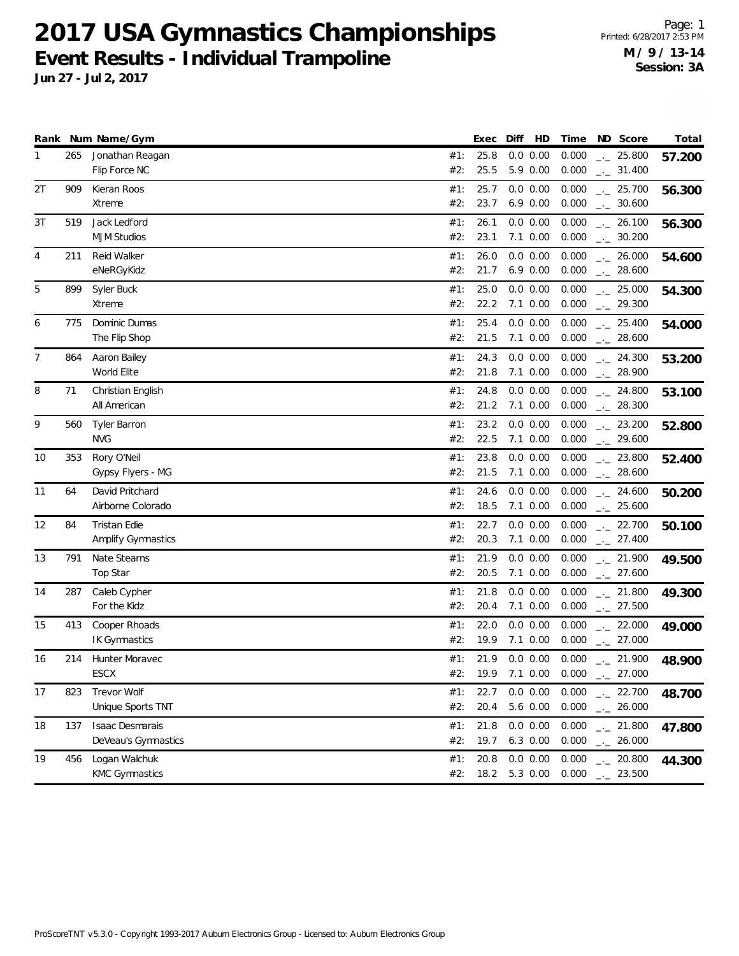|                |     | Rank Num Name/Gym      |     | Exec | Diff<br>HD          | Time  | ND Score             | Total  |
|----------------|-----|------------------------|-----|------|---------------------|-------|----------------------|--------|
| 1              | 265 | Jonathan Reagan        | #1: | 25.8 | 0.0 0.00            | 0.000 | $-25.800$            | 57.200 |
|                |     | Flip Force NC          | #2: | 25.5 | 5.9 0.00            | 0.000 | $-2$ 31.400          |        |
| 2T             | 909 | Kieran Roos            | #1: | 25.7 | 0.0 0.00            | 0.000 | $-25.700$            | 56.300 |
|                |     | Xtreme                 | #2: | 23.7 | $6.9\ 0.00$         | 0.000 | $-2$ 30.600          |        |
| 3T             | 519 | Jack Ledford           | #1: | 26.1 | 0.0 0.00            | 0.000 | $-26.100$            | 56.300 |
|                |     | <b>MJM Studios</b>     | #2: | 23.1 | $7.1 \ 0.00$        | 0.000 | $\frac{1}{2}$ 30.200 |        |
| 4              | 211 | Reid Walker            | #1: | 26.0 | 0.0 0.00            | 0.000 | $\frac{1}{2}$ 26.000 | 54.600 |
|                |     | eNeRGyKidz             | #2: | 21.7 | $6.9\ 0.00$         | 0.000 | $-28.600$            |        |
| 5              | 899 | Syler Buck             | #1: | 25.0 | 0.0 0.00            | 0.000 | $-25.000$            | 54.300 |
|                |     | Xtreme                 | #2: | 22.2 | 7.1 0.00            | 0.000 | $-29.300$            |        |
| 6              | 775 | Dominic Dumas          | #1: | 25.4 | 0.0 0.00            | 0.000 | $-25.400$            | 54.000 |
|                |     | The Flip Shop          | #2: | 21.5 | $7.1 \ 0.00$        | 0.000 | $\frac{1}{2}$ 28.600 |        |
| $\overline{7}$ | 864 | Aaron Bailey           | #1: | 24.3 | 0.0 0.00            | 0.000 | $-24.300$            | 53.200 |
|                |     | World Elite            | #2: | 21.8 | $7.1 \ 0.00$        | 0.000 | $-28.900$            |        |
| 8              | 71  | Christian English      | #1: | 24.8 | 0.0 0.00            | 0.000 | $-24.800$            | 53.100 |
|                |     | All American           | #2: | 21.2 | 7.1 0.00            | 0.000 | $-28.300$            |        |
| 9              | 560 | <b>Tyler Barron</b>    | #1: | 23.2 | 0.0 0.00            | 0.000 | $-23.200$            | 52.800 |
|                |     | <b>NVG</b>             | #2: | 22.5 | $7.1 \ 0.00$        | 0.000 | $-29.600$            |        |
| 10             | 353 | Rory O'Neil            | #1: | 23.8 | 0.0 0.00            | 0.000 | $-23.800$            | 52.400 |
|                |     | Gypsy Flyers - MG      | #2: | 21.5 | $7.1 \ 0.00$        | 0.000 | $-28.600$            |        |
| 11             | 64  | David Pritchard        | #1: | 24.6 | 0.0 0.00            | 0.000 | $-24.600$            | 50.200 |
|                |     | Airborne Colorado      | #2: | 18.5 | 7.1 0.00            | 0.000 | $-25.600$            |        |
| 12             | 84  | Tristan Edie           | #1: | 22.7 | 0.0 0.00            | 0.000 | $-22.700$            | 50.100 |
|                |     | Amplify Gymnastics     | #2: | 20.3 | 7.1 0.00            | 0.000 | $-27.400$            |        |
| 13             | 791 | Nate Stearns           | #1: | 21.9 | 0.0 0.00            | 0.000 | $-21.900$            | 49.500 |
|                |     | Top Star               | #2: | 20.5 | $7.1 \ 0.00$        | 0.000 | $-27.600$            |        |
| 14             | 287 | Caleb Cypher           | #1: | 21.8 | 0.0 0.00            | 0.000 | $-21.800$            | 49.300 |
|                |     | For the Kidz           | #2: | 20.4 | $7.1 \ 0.00$        | 0.000 | $-27.500$            |        |
| 15             | 413 | Cooper Rhoads          | #1: | 22.0 | 0.0 0.00            | 0.000 | $-22.000$            | 49.000 |
|                |     | IK Gymnastics          | #2: | 19.9 | 7.1 0.00            | 0.000 | $-27.000$            |        |
| 16             | 214 | Hunter Moravec         | #1: | 21.9 | 0.0 0.00            | 0.000 | $-21.900$            | 48.900 |
|                |     | ESCX                   | #2: |      | 19.9 7.1 0.00 0.000 |       | 27.000               |        |
| 17             | 823 | Trevor Wolf            | #1: | 22.7 | 0.0 0.00            | 0.000 | $-22.700$            | 48.700 |
|                |     | Unique Sports TNT      | #2: | 20.4 | 5.6 0.00            | 0.000 | $-26.000$            |        |
| 18             | 137 | <b>Isaac Desmarais</b> | #1: | 21.8 | 0.0 0.00            | 0.000 | $-21.800$            | 47.800 |
|                |     | DeVeau's Gymnastics    | #2: | 19.7 | $6.3$ $0.00$        | 0.000 | $-26.000$            |        |
| 19             | 456 | Logan Walchuk          | #1: | 20.8 | 0.0 0.00            | 0.000 | $-20.800$            | 44.300 |
|                |     | <b>KMC Gymnastics</b>  | #2: |      | 18.2 5.3 0.00       | 0.000 | $-23.500$            |        |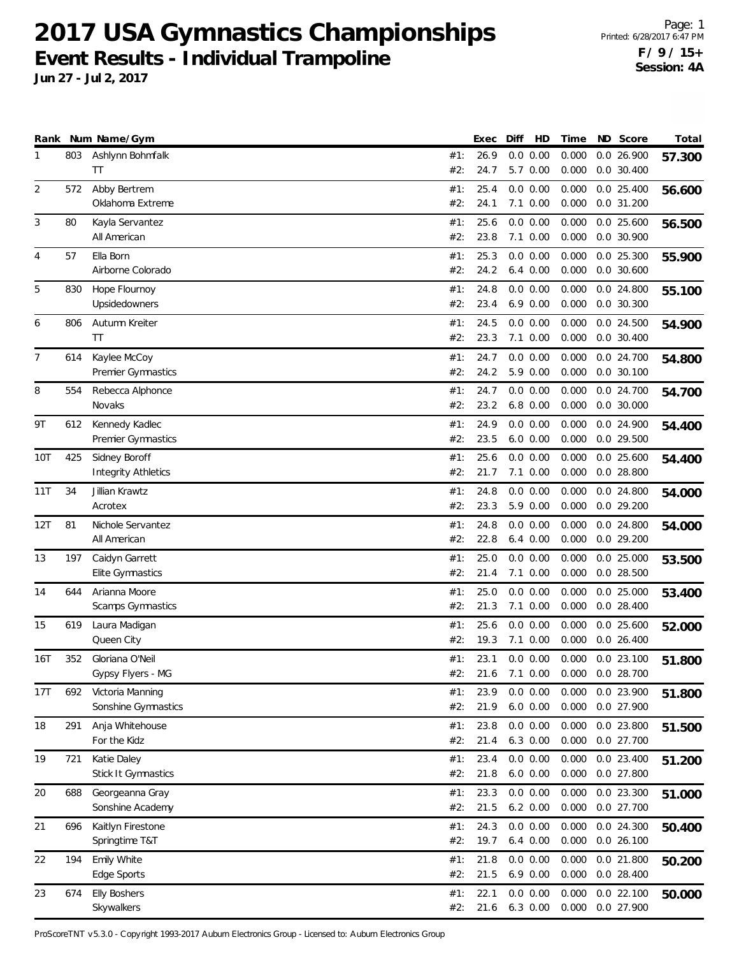**Jun 27 - Jul 2, 2017**

|                |            | Rank Num Name/Gym                                        |                   | Exec                 | Diff | HD                                  | Time                    | ND Score                               | Total  |
|----------------|------------|----------------------------------------------------------|-------------------|----------------------|------|-------------------------------------|-------------------------|----------------------------------------|--------|
| 1              | 803        | Ashlynn Bohmfalk<br>ΤT                                   | #1:<br>#2:        | 26.9<br>24.7         |      | 0.0 0.00<br>5.7 0.00                | 0.000<br>0.000          | 0.026.900<br>$0.0$ 30.400              | 57.300 |
| $\overline{2}$ | 572        | Abby Bertrem<br>Oklahoma Extreme                         | #1:<br>#2:        | 25.4<br>24.1         |      | 0.0 0.00<br>$7.1 \ 0.00$            | 0.000<br>0.000          | $0.0$ 25.400<br>$0.0$ 31.200           | 56.600 |
| 3              | 80         | Kayla Servantez<br>All American                          | #1:<br>#2:        | 25.6<br>23.8         |      | 0.0 0.00<br>$7.1 \ 0.00$            | 0.000<br>0.000          | $0.0$ 25.600<br>0.0 30.900             | 56.500 |
| 4              | 57         | Ella Born<br>Airborne Colorado                           | #1:<br>#2:        | 25.3<br>24.2         |      | 0.0 0.00<br>$6.4\ 0.00$             | 0.000<br>0.000          | $0.0$ 25.300<br>$0.0$ 30.600           | 55.900 |
| 5              | 830        | Hope Flournoy<br>Upsidedowners                           | #1:<br>#2:        | 24.8<br>23.4         |      | 0.0 0.00<br>$6.9\ 0.00$             | 0.000<br>0.000          | 0.0 24.800<br>$0.0$ 30.300             | 55.100 |
| 6              | 806        | Autumn Kreiter<br>ΤT                                     | #1:<br>#2:        | 24.5<br>23.3         |      | 0.0 0.00<br>$7.1 \ 0.00$            | 0.000<br>0.000          | $0.0$ 24.500<br>$0.0$ 30.400           | 54.900 |
| 7              | 614        | Kaylee McCoy<br>Premier Gymnastics                       | #1:<br>#2:        | 24.7<br>24.2         |      | 0.0 0.00<br>5.9 0.00                | 0.000<br>0.000          | 0.0 24.700<br>$0.0$ 30.100             | 54.800 |
| 8              | 554        | Rebecca Alphonce<br>Novaks                               | #1:<br>#2:        | 24.7<br>23.2         |      | 0.0 0.00<br>$6.8$ $0.00$            | 0.000<br>0.000          | 0.0 24.700<br>$0.0$ 30.000             | 54.700 |
| 9T             | 612        | Kennedy Kadlec<br>Premier Gymnastics                     | #1:<br>#2:        | 24.9<br>23.5         |      | 0.0 0.00<br>$6.0$ $0.00$            | 0.000<br>0.000          | 0.0 24.900<br>0.0 29.500               | 54.400 |
| 10T            | 425        | Sidney Boroff<br><b>Integrity Athletics</b>              | #1:<br>#2:        | 25.6<br>21.7         |      | 0.0 0.00<br>$7.1 \ 0.00$            | 0.000<br>0.000          | $0.0$ 25.600<br>$0.0$ 28.800           | 54.400 |
| 11T            | 34         | Jillian Krawtz<br>Acrotex                                | #1:<br>#2:        | 24.8<br>23.3         |      | 0.0 0.00<br>5.9 0.00                | 0.000<br>0.000          | $0.0$ 24.800<br>0.029.200              | 54.000 |
| 12T            | 81         | Nichole Servantez<br>All American                        | #1:<br>#2:        | 24.8<br>22.8         |      | 0.0 0.00<br>$6.4\ 0.00$             | 0.000<br>0.000          | $0.0$ 24.800<br>0.029.200              | 54.000 |
| 13             | 197        | Caidyn Garrett<br>Elite Gymnastics                       | #1:<br>#2:        | 25.0<br>21.4         |      | 0.0 0.00<br>$7.1 \ 0.00$            | 0.000<br>0.000          | $0.0$ 25.000<br>$0.0$ 28.500           | 53.500 |
| 14             | 644        | Arianna Moore<br>Scamps Gymnastics                       | #1:<br>#2:        | 25.0<br>21.3         |      | 0.0 0.00<br>$7.1 \ 0.00$            | 0.000<br>0.000          | $0.0$ 25.000<br>$0.0$ 28.400           | 53.400 |
| 15             | 619        | Laura Madigan<br>Queen City                              | #1:<br>#2:        | 25.6<br>19.3         |      | 0.0 0.00<br>$7.1 \ 0.00$            | 0.000<br>0.000          | $0.0$ 25.600<br>$0.0$ 26.400           | 52.000 |
| 16T            | 352        | Gloriana O'Neil<br>Gypsy Flyers - MG                     | #1:<br>#2:        | 23.1<br>21.6         |      | 0.0 0.00<br>7.1 0.00                | 0.000<br>0.000          | $0.0$ 23.100<br>0.0 28.700             | 51.800 |
| 17T            | 692        | Victoria Manning<br>Sonshine Gymnastics                  | #1:<br>#2:        | 23.9<br>21.9         |      | 0.0 0.00<br>$6.0\ 0.00$             | 0.000<br>0.000          | 0.0 23.900<br>0.0 27.900               | 51.800 |
| 18             | 291        | Anja Whitehouse<br>For the Kidz                          | #1:<br>#2:        | 23.8<br>21.4         |      | $0.0\ 0.00$<br>$6.3$ $0.00$         | 0.000<br>0.000          | 0.0 23.800<br>0.0 27.700               | 51.500 |
| 19             | 721        | Katie Daley<br>Stick It Gymnastics                       | #1:<br>#2:        | 23.4<br>21.8<br>23.3 |      | 0.0 0.00<br>$6.0\ 0.00$             | 0.000<br>0.000          | 0.0 23.400<br>0.0 27.800               | 51.200 |
| 20<br>21       | 688<br>696 | Georgeanna Gray<br>Sonshine Academy<br>Kaitlyn Firestone | #1:<br>#2:<br>#1: | 21.5<br>24.3         |      | 0.0 0.00<br>$6.2\ 0.00$<br>0.0 0.00 | 0.000<br>0.000<br>0.000 | 0.0 23.300<br>0.0 27.700<br>0.0 24.300 | 51.000 |
| 22             | 194        | Springtime T&T<br>Emily White                            | #2:<br>#1:        | 19.7<br>21.8         |      | $6.4\ 0.00$<br>$0.0\ 0.00$          | 0.000<br>0.000          | $0.0$ 26.100<br>0.0 21.800             | 50.400 |
| 23             | 674        | Edge Sports<br><b>Elly Boshers</b>                       | #2:<br>#1:        | 21.5<br>22.1         |      | $6.9\ 0.00$<br>0.0 0.00             | 0.000<br>0.000          | 0.0 28.400<br>$0.0$ 22.100             | 50.200 |
|                |            | Skywalkers                                               | #2:               | 21.6                 |      | 6.3 0.00                            | 0.000                   | 0.0 27.900                             | 50.000 |

ProScoreTNT v5.3.0 - Copyright 1993-2017 Auburn Electronics Group - Licensed to: Auburn Electronics Group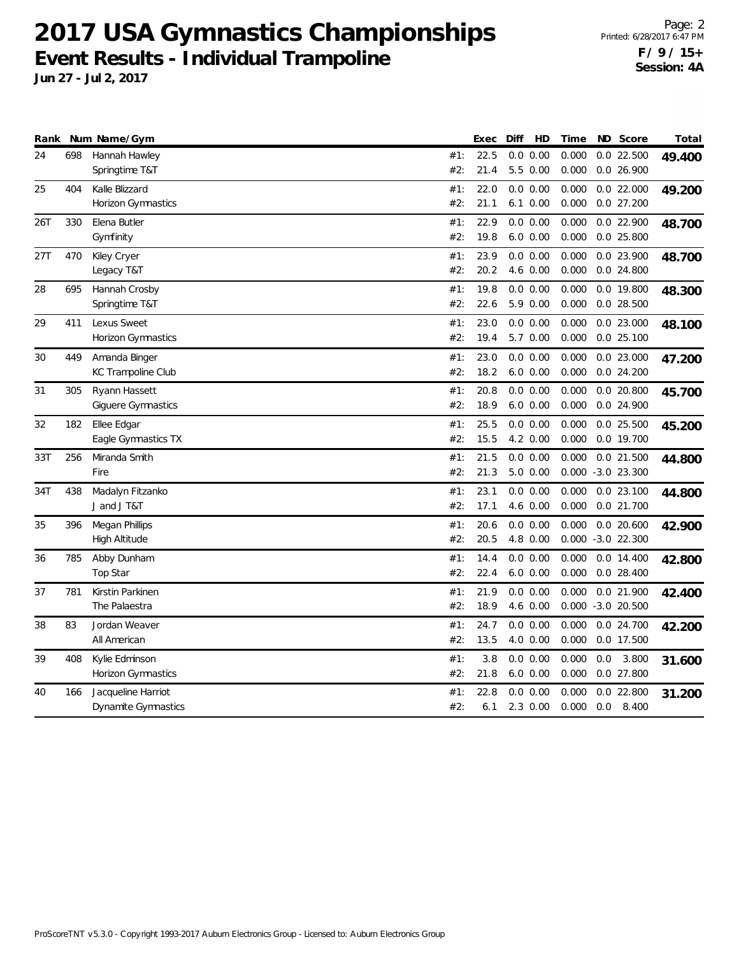|     |     | Rank Num Name/Gym                           |            | Exec         | HD<br>Diff                  | Time           |     | ND Score                            | Total  |
|-----|-----|---------------------------------------------|------------|--------------|-----------------------------|----------------|-----|-------------------------------------|--------|
| 24  | 698 | Hannah Hawley<br>Springtime T&T             | #1:<br>#2: | 22.5<br>21.4 | 0.0 0.00<br>5.5 0.00        | 0.000<br>0.000 |     | $0.0$ 22.500<br>0.0 26.900          | 49.400 |
| 25  | 404 | Kalle Blizzard<br><b>Horizon Gymnastics</b> | #1:<br>#2: | 22.0<br>21.1 | 0.0 0.00<br>$6.1 \ 0.00$    | 0.000<br>0.000 |     | $0.0$ 22.000<br>$0.0$ 27.200        | 49.200 |
| 26T | 330 | Elena Butler<br>Gymfinity                   | #1:<br>#2: | 22.9<br>19.8 | 0.0 0.00<br>$6.0\ 0.00$     | 0.000<br>0.000 |     | 0.0 22.900<br>$0.0$ 25.800          | 48.700 |
| 27T | 470 | Kiley Cryer<br>Legacy T&T                   | #1:<br>#2: | 23.9<br>20.2 | 0.0 0.00<br>4.6 0.00        | 0.000<br>0.000 |     | 0.0 23.900<br>0.0 24.800            | 48.700 |
| 28  | 695 | Hannah Crosby<br>Springtime T&T             | #1:<br>#2: | 19.8<br>22.6 | 0.0 0.00<br>5.9 0.00        | 0.000<br>0.000 |     | 0.0 19.800<br>$0.0$ 28.500          | 48.300 |
| 29  | 411 | Lexus Sweet<br>Horizon Gymnastics           | #1:<br>#2: | 23.0<br>19.4 | 0.0 0.00<br>5.7 0.00        | 0.000<br>0.000 |     | 0.0 23.000<br>$0.0$ 25.100          | 48.100 |
| 30  | 449 | Amanda Binger<br><b>KC Trampoline Club</b>  | #1:<br>#2: | 23.0<br>18.2 | 0.0 0.00<br>$6.0 \ 0.00$    | 0.000<br>0.000 |     | $0.0$ 23.000<br>$0.0$ 24.200        | 47.200 |
| 31  | 305 | Ryann Hassett<br><b>Giguere Gymnastics</b>  | #1:<br>#2: | 20.8<br>18.9 | 0.0 0.00<br>$6.0\ 0.00$     | 0.000<br>0.000 |     | $0.0$ 20.800<br>0.0 24.900          | 45.700 |
| 32  | 182 | Ellee Edgar<br>Eagle Gymnastics TX          | #1:<br>#2: | 25.5<br>15.5 | 0.0 0.00<br>4.2 0.00        | 0.000<br>0.000 |     | $0.0$ 25.500<br>0.0 19.700          | 45.200 |
| 33T | 256 | Miranda Smith<br>Fire                       | #1:<br>#2: | 21.5<br>21.3 | 0.0 0.00<br>$5.0\ 0.00$     | 0.000<br>0.000 |     | $0.0$ 21.500<br>$-3.0$ 23.300       | 44.800 |
| 34T | 438 | Madalyn Fitzanko<br>J and J T&T             | #1:<br>#2: | 23.1<br>17.1 | 0.0 0.00<br>4.6 0.00        | 0.000<br>0.000 |     | $0.0$ 23.100<br>0.0 21.700          | 44.800 |
| 35  | 396 | Megan Phillips<br>High Altitude             | #1:<br>#2: | 20.6<br>20.5 | 0.0 0.00<br>4.8 0.00        | 0.000          |     | $0.0$ 20.600<br>$0.000 -3.0 22.300$ | 42.900 |
| 36  | 785 | Abby Dunham<br>Top Star                     | #1:<br>#2: | 14.4<br>22.4 | 0.0 0.00<br>$6.0\ 0.00$     | 0.000<br>0.000 |     | $0.0$ 14.400<br>$0.0$ 28.400        | 42.800 |
| 37  | 781 | Kirstin Parkinen<br>The Palaestra           | #1:<br>#2: | 21.9<br>18.9 | 0.0 0.00<br>4.6 0.00        | 0.000<br>0.000 |     | 0.0 21.900<br>$-3.0$ 20.500         | 42.400 |
| 38  | 83  | Jordan Weaver<br>All American               | #1:<br>#2: | 24.7<br>13.5 | 0.0 0.00<br>4.0 0.00        | 0.000<br>0.000 |     | 0.0 24.700<br>0.0 17.500            | 42.200 |
| 39  | 408 | Kylie Edminson<br>Horizon Gymnastics        | #1:<br>#2: | 3.8<br>21.8  | 0.0 0.00<br>$6.0\ 0.00$     | 0.000<br>0.000 | 0.0 | 3.800<br>0.0 27.800                 | 31.600 |
| 40  | 166 | Jacqueline Harriot<br>Dynamite Gymnastics   | #1:<br>#2: | 22.8<br>6.1  | 0.00<br>0.0<br>$2.3 \t0.00$ | 0.000<br>0.000 | 0.0 | $0.0$ 22.800<br>8.400               | 31.200 |